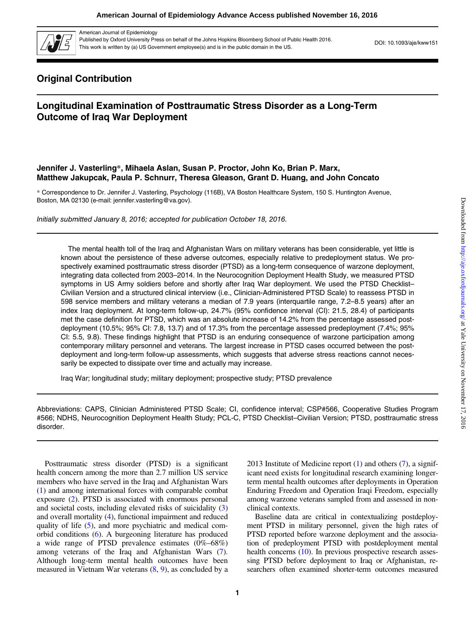

American Journal of Epidemiology

Published by Oxford University Press on behalf of the Johns Hopkins Bloomberg School of Public Health 2016.<br>This work is written by (a) US Government employee(s) and is in the public domain in the US.

# Original Contribution

# Longitudinal Examination of Posttraumatic Stress Disorder as a Long-Term Outcome of Iraq War Deployment

# Jennifer J. Vasterling\*, Mihaela Aslan, Susan P. Proctor, John Ko, Brian P. Marx, Matthew Jakupcak, Paula P. Schnurr, Theresa Gleason, Grant D. Huang, and John Concato

\* Correspondence to Dr. Jennifer J. Vasterling, Psychology (116B), VA Boston Healthcare System, 150 S. Huntington Avenue, Boston, MA 02130 (e-mail: jennifer.vasterling@va.gov).

Initially submitted January 8, 2016; accepted for publication October 18, 2016.

The mental health toll of the Iraq and Afghanistan Wars on military veterans has been considerable, yet little is known about the persistence of these adverse outcomes, especially relative to predeployment status. We prospectively examined posttraumatic stress disorder (PTSD) as a long-term consequence of warzone deployment, integrating data collected from 2003–2014. In the Neurocognition Deployment Health Study, we measured PTSD symptoms in US Army soldiers before and shortly after Iraq War deployment. We used the PTSD Checklist-Civilian Version and a structured clinical interview (i.e., Clinician-Administered PTSD Scale) to reassess PTSD in 598 service members and military veterans a median of 7.9 years (interquartile range, 7.2–8.5 years) after an index Iraq deployment. At long-term follow-up, 24.7% (95% confidence interval (CI): 21.5, 28.4) of participants met the case definition for PTSD, which was an absolute increase of 14.2% from the percentage assessed postdeployment (10.5%; 95% CI: 7.8, 13.7) and of 17.3% from the percentage assessed predeployment (7.4%; 95% CI: 5.5, 9.8). These findings highlight that PTSD is an enduring consequence of warzone participation among contemporary military personnel and veterans. The largest increase in PTSD cases occurred between the postdeployment and long-term follow-up assessments, which suggests that adverse stress reactions cannot necessarily be expected to dissipate over time and actually may increase.

Iraq War; longitudinal study; military deployment; prospective study; PTSD prevalence

Abbreviations: CAPS, Clinician Administered PTSD Scale; CI, confidence interval; CSP#566, Cooperative Studies Program #566; NDHS, Neurocognition Deployment Health Study; PCL-C, PTSD Checklist–Civilian Version; PTSD, posttraumatic stress disorder.

Posttraumatic stress disorder (PTSD) is a significant health concern among the more than 2.7 million US service members who have served in the Iraq and Afghanistan Wars [\(1](#page-7-0)) and among international forces with comparable combat exposure ([2\)](#page-7-0). PTSD is associated with enormous personal and societal costs, including elevated risks of suicidality ([3\)](#page-7-0) and overall mortality [\(4\)](#page-7-0), functional impairment and reduced quality of life ([5\)](#page-7-0), and more psychiatric and medical comorbid conditions [\(6](#page-7-0)). A burgeoning literature has produced a wide range of PTSD prevalence estimates (0%–68%) among veterans of the Iraq and Afghanistan Wars [\(7](#page-7-0)). Although long-term mental health outcomes have been measured in Vietnam War veterans  $(8, 9)$  $(8, 9)$  $(8, 9)$  $(8, 9)$ , as concluded by a 2013 Institute of Medicine report [\(1](#page-7-0)) and others [\(7](#page-7-0)), a significant need exists for longitudinal research examining longerterm mental health outcomes after deployments in Operation Enduring Freedom and Operation Iraqi Freedom, especially among warzone veterans sampled from and assessed in nonclinical contexts.

Baseline data are critical in contextualizing postdeployment PTSD in military personnel, given the high rates of PTSD reported before warzone deployment and the association of predeployment PTSD with postdeployment mental health concerns [\(10\)](#page-7-0). In previous prospective research assessing PTSD before deployment to Iraq or Afghanistan, researchers often examined shorter-term outcomes measured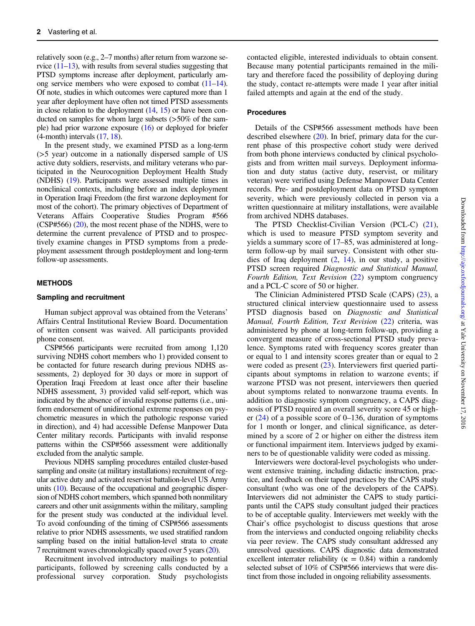relatively soon (e.g., 2–7 months) after return from warzone service [\(11](#page-7-0)–[13](#page-7-0)), with results from several studies suggesting that PTSD symptoms increase after deployment, particularly among service members who were exposed to combat  $(11-14)$  $(11-14)$  $(11-14)$  $(11-14)$  $(11-14)$ . Of note, studies in which outcomes were captured more than 1 year after deployment have often not timed PTSD assessments in close relation to the deployment  $(14, 15)$  $(14, 15)$  $(14, 15)$  or have been conducted on samples for whom large subsets (>50% of the sample) had prior warzone exposure ([16](#page-7-0)) or deployed for briefer (4-month) intervals [\(17](#page-7-0), [18\)](#page-7-0).

In the present study, we examined PTSD as a long-term (>5 year) outcome in a nationally dispersed sample of US active duty soldiers, reservists, and military veterans who participated in the Neurocognition Deployment Health Study (NDHS) [\(19](#page-7-0)). Participants were assessed multiple times in nonclinical contexts, including before an index deployment in Operation Iraqi Freedom (the first warzone deployment for most of the cohort). The primary objectives of Department of Veterans Affairs Cooperative Studies Program #566 (CSP#566) ([20\)](#page-7-0), the most recent phase of the NDHS, were to determine the current prevalence of PTSD and to prospectively examine changes in PTSD symptoms from a predeployment assessment through postdeployment and long-term follow-up assessments.

## METHODS

## Sampling and recruitment

Human subject approval was obtained from the Veterans' Affairs Central Institutional Review Board. Documentation of written consent was waived. All participants provided phone consent.

CSP#566 participants were recruited from among 1,120 surviving NDHS cohort members who 1) provided consent to be contacted for future research during previous NDHS assessments, 2) deployed for 30 days or more in support of Operation Iraqi Freedom at least once after their baseline NDHS assessment, 3) provided valid self-report, which was indicated by the absence of invalid response patterns (i.e., uniform endorsement of unidirectional extreme responses on psychometric measures in which the pathologic response varied in direction), and 4) had accessible Defense Manpower Data Center military records. Participants with invalid response patterns within the CSP#566 assessment were additionally excluded from the analytic sample.

Previous NDHS sampling procedures entailed cluster-based sampling and onsite (at military installations) recruitment of regular active duty and activated reservist battalion-level US Army units [\(10\)](#page-7-0). Because of the occupational and geographic dispersion of NDHS cohort members, which spanned both nonmilitary careers and other unit assignments within the military, sampling for the present study was conducted at the individual level. To avoid confounding of the timing of CSP#566 assessments relative to prior NDHS assessments, we used stratified random sampling based on the initial battalion-level strata to create 7 recruitment waves chronologically spaced over 5 years([20](#page-7-0)).

Recruitment involved introductory mailings to potential participants, followed by screening calls conducted by a professional survey corporation. Study psychologists

contacted eligible, interested individuals to obtain consent. Because many potential participants remained in the military and therefore faced the possibility of deploying during the study, contact re-attempts were made 1 year after initial failed attempts and again at the end of the study.

## Procedures

Details of the CSP#566 assessment methods have been described elsewhere  $(20)$ . In brief, primary data for the current phase of this prospective cohort study were derived from both phone interviews conducted by clinical psychologists and from written mail surveys. Deployment information and duty status (active duty, reservist, or military veteran) were verified using Defense Manpower Data Center records. Pre- and postdeployment data on PTSD symptom severity, which were previously collected in person via a written questionnaire at military installations, were available from archived NDHS databases.

The PTSD Checklist-Civilian Version (PCL-C) [\(21](#page-7-0)), which is used to measure PTSD symptom severity and yields a summary score of 17–85, was administered at longterm follow-up by mail survey. Consistent with other studies of Iraq deployment [\(2](#page-7-0), [14](#page-7-0)), in our study, a positive PTSD screen required Diagnostic and Statistical Manual, Fourth Edition, Text Revision ([22\)](#page-7-0) symptom congruency and a PCL-C score of 50 or higher.

The Clinician Administered PTSD Scale (CAPS) ([23\)](#page-7-0), a structured clinical interview questionnaire used to assess PTSD diagnosis based on Diagnostic and Statistical Manual, Fourth Edition, Text Revision ([22\)](#page-7-0) criteria, was administered by phone at long-term follow-up, providing a convergent measure of cross-sectional PTSD study prevalence. Symptoms rated with frequency scores greater than or equal to 1 and intensity scores greater than or equal to 2 were coded as present [\(23](#page-7-0)). Interviewers first queried participants about symptoms in relation to warzone events; if warzone PTSD was not present, interviewers then queried about symptoms related to nonwarzone trauma events. In addition to diagnostic symptom congruency, a CAPS diagnosis of PTSD required an overall severity score 45 or higher  $(24)$  $(24)$  of a possible score of 0–136, duration of symptoms for 1 month or longer, and clinical significance, as determined by a score of 2 or higher on either the distress item or functional impairment item. Interviews judged by examiners to be of questionable validity were coded as missing.

Interviewers were doctoral-level psychologists who underwent extensive training, including didactic instruction, practice, and feedback on their taped practices by the CAPS study consultant (who was one of the developers of the CAPS). Interviewers did not administer the CAPS to study participants until the CAPS study consultant judged their practices to be of acceptable quality. Interviewers met weekly with the Chair's office psychologist to discuss questions that arose from the interviews and conducted ongoing reliability checks via peer review. The CAPS study consultant addressed any unresolved questions. CAPS diagnostic data demonstrated excellent interrater reliability ( $\kappa = 0.84$ ) within a randomly selected subset of 10% of CSP#566 interviews that were distinct from those included in ongoing reliability assessments.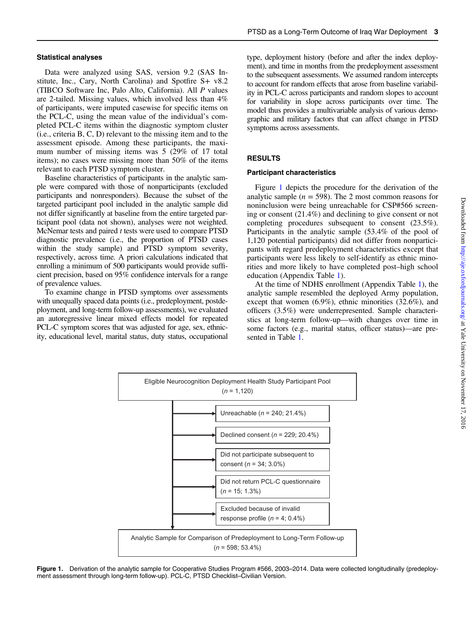#### Statistical analyses

Data were analyzed using SAS, version 9.2 (SAS Institute, Inc., Cary, North Carolina) and Spotfire S+ v8.2 (TIBCO Software Inc, Palo Alto, California). All P values are 2-tailed. Missing values, which involved less than 4% of participants, were imputed casewise for specific items on the PCL-C, using the mean value of the individual's completed PCL-C items within the diagnostic symptom cluster (i.e., criteria B, C, D) relevant to the missing item and to the assessment episode. Among these participants, the maximum number of missing items was 5 (29% of 17 total items); no cases were missing more than 50% of the items relevant to each PTSD symptom cluster.

Baseline characteristics of participants in the analytic sample were compared with those of nonparticipants (excluded participants and nonresponders). Because the subset of the targeted participant pool included in the analytic sample did not differ significantly at baseline from the entire targeted participant pool (data not shown), analyses were not weighted. McNemar tests and paired  $t$  tests were used to compare PTSD diagnostic prevalence (i.e., the proportion of PTSD cases within the study sample) and PTSD symptom severity, respectively, across time. A priori calculations indicated that enrolling a minimum of 500 participants would provide sufficient precision, based on 95% confidence intervals for a range of prevalence values.

To examine change in PTSD symptoms over assessments with unequally spaced data points (i.e., predeployment, postdeployment, and long-term follow-up assessments), we evaluated an autoregressive linear mixed effects model for repeated PCL-C symptom scores that was adjusted for age, sex, ethnicity, educational level, marital status, duty status, occupational type, deployment history (before and after the index deployment), and time in months from the predeployment assessment to the subsequent assessments. We assumed random intercepts to account for random effects that arose from baseline variability in PCL-C across participants and random slopes to account for variability in slope across participants over time. The model thus provides a multivariable analysis of various demographic and military factors that can affect change in PTSD symptoms across assessments.

## RESULTS

## Participant characteristics

Figure 1 depicts the procedure for the derivation of the analytic sample ( $n = 598$ ). The 2 most common reasons for noninclusion were being unreachable for CSP#566 screening or consent (21.4%) and declining to give consent or not completing procedures subsequent to consent (23.5%). Participants in the analytic sample (53.4% of the pool of 1,120 potential participants) did not differ from nonparticipants with regard predeployment characteristics except that participants were less likely to self-identify as ethnic minorities and more likely to have completed post–high school education (Appendix Table [1](#page-9-0)).

At the time of NDHS enrollment (Appendix Table [1\)](#page-9-0), the analytic sample resembled the deployed Army population, except that women (6.9%), ethnic minorities (32.6%), and officers (3.5%) were underrepresented. Sample characteristics at long-term follow-up—with changes over time in some factors (e.g., marital status, officer status)—are presented in Table [1](#page-3-0).



Figure 1. Derivation of the analytic sample for Cooperative Studies Program #566, 2003-2014. Data were collected longitudinally (predeployment assessment through long-term follow-up). PCL-C, PTSD Checklist–Civilian Version.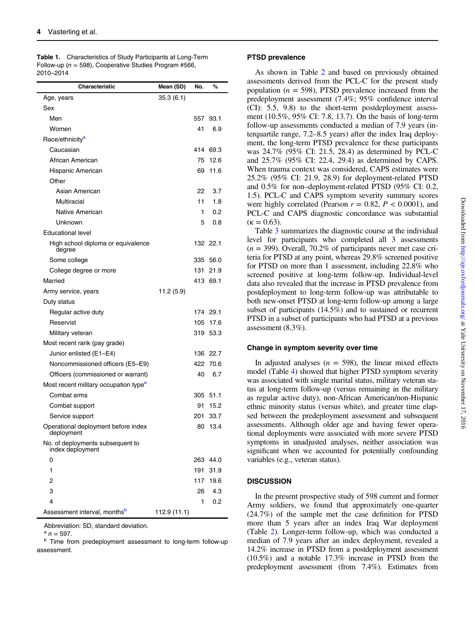<span id="page-3-0"></span>

|           | Table 1. Characteristics of Study Participants at Long-Term |
|-----------|-------------------------------------------------------------|
|           | Follow-up ( $n = 598$ ), Cooperative Studies Program #566,  |
| 2010-2014 |                                                             |

| Characteristic                                       | Mean (SD)    | No. | %        |
|------------------------------------------------------|--------------|-----|----------|
| Age, years                                           | 35.3(6.1)    |     |          |
| Sex                                                  |              |     |          |
| Men                                                  |              | 557 | 93.1     |
| Women                                                |              | 41  | 6.9      |
| Race/ethnicity <sup>a</sup>                          |              |     |          |
| Caucasian                                            |              | 414 | 69.3     |
| African American                                     |              | 75  | 12.6     |
| Hispanic American                                    |              | 69  | 11.6     |
| Other                                                |              |     |          |
| Asian American                                       |              | 22  | 3.7      |
| Multiracial                                          |              | 11  | 1.8      |
| Native American                                      |              | 1   | 0.2      |
| Unknown                                              |              | 5   | 0.8      |
| <b>Educational level</b>                             |              |     |          |
| High school diploma or equivalence<br>degree         |              |     | 132 22.1 |
| Some college                                         |              | 335 | 56.0     |
| College degree or more                               |              | 131 | 21.9     |
| Married                                              |              |     | 413 69.1 |
| Army service, years                                  | 11.2 (5.9)   |     |          |
| Duty status                                          |              |     |          |
| Regular active duty                                  |              | 174 | 29.1     |
| Reservist                                            |              | 105 | 17.6     |
| Military veteran                                     |              | 319 | 53.3     |
| Most recent rank (pay grade)                         |              |     |          |
| Junior enlisted (E1-E4)                              |              | 136 | 22.7     |
| Noncommissioned officers (E5–E9)                     |              | 422 | 70.6     |
| Officers (commissioned or warrant)                   |              | 40  | 6.7      |
| Most recent military occupation type <sup>a</sup>    |              |     |          |
| Combat arms                                          |              | 305 | 51.1     |
| Combat support                                       |              | 91  | 15.2     |
| Service support                                      |              | 201 | 33.7     |
| Operational deployment before index<br>deployment    |              | 80  | 13.4     |
| No. of deployments subsequent to<br>index deployment |              |     |          |
| 0                                                    |              | 263 | 44.0     |
| 1                                                    |              | 191 | 31.9     |
| 2                                                    |              | 117 | 19.6     |
| 3                                                    |              | 26  | 4.3      |
| 4                                                    |              | 1   | 0.2      |
| Assessment interval, monthsb                         | 112.9 (11.1) |     |          |

Abbreviation: SD, standard deviation.<br> $a_n = 597$ .

## PTSD prevalence

As shown in Table [2](#page-4-0) and based on previously obtained assessments derived from the PCL-C for the present study population ( $n = 598$ ), PTSD prevalence increased from the predeployment assessment (7.4%; 95% confidence interval (CI): 5.5, 9.8) to the short-term postdeployment assessment (10.5%, 95% CI: 7.8, 13.7). On the basis of long-term follow-up assessments conducted a median of 7.9 years (interquartile range, 7.2–8.5 years) after the index Iraq deployment, the long-term PTSD prevalence for these participants was 24.7% (95% CI: 21.5, 28.4) as determined by PCL-C and 25.7% (95% CI: 22.4, 29.4) as determined by CAPS. When trauma context was considered, CAPS estimates were 25.2% (95% CI: 21.9, 28.9) for deployment-related PTSD and 0.5% for non–deployment-related PTSD (95% CI: 0.2, 1.5). PCL-C and CAPS symptom severity summary scores were highly correlated (Pearson  $r = 0.82$ ,  $P < 0.0001$ ), and PCL-C and CAPS diagnostic concordance was substantial  $(\kappa = 0.63)$ .

Table [3](#page-4-0) summarizes the diagnostic course at the individual level for participants who completed all 3 assessments  $(n = 399)$ . Overall, 70.2% of participants never met case criteria for PTSD at any point, whereas 29.8% screened positive for PTSD on more than 1 assessment, including 22.8% who screened positive at long-term follow-up. Individual-level data also revealed that the increase in PTSD prevalence from postdeployment to long-term follow-up was attributable to both new-onset PTSD at long-term follow-up among a large subset of participants (14.5%) and to sustained or recurrent PTSD in a subset of participants who had PTSD at a previous assessment (8.3%).

## Change in symptom severity over time

In adjusted analyses ( $n = 598$ ), the linear mixed effects model (Table [4\)](#page-5-0) showed that higher PTSD symptom severity was associated with single marital status, military veteran status at long-term follow-up (versus remaining in the military as regular active duty), non-African American/non-Hispanic ethnic minority status (versus white), and greater time elapsed between the predeployment assessment and subsequent assessments. Although older age and having fewer operational deployments were associated with more severe PTSD symptoms in unadjusted analyses, neither association was significant when we accounted for potentially confounding variables (e.g., veteran status).

## **DISCUSSION**

In the present prospective study of 598 current and former Army soldiers, we found that approximately one-quarter (24.7%) of the sample met the case definition for PTSD more than 5 years after an index Iraq War deployment (Table [2](#page-4-0)). Longer-term follow-up, which was conducted a <sup>b</sup> Time from predeployment assessment to long-term follow-up median of 7.9 years after an index deployment, revealed a assessment. 14.2% increase in PTSD from a postdeployment assessment (10.5%) and a notable 17.3% increase in PTSD from the predeployment assessment (from 7.4%). Estimates from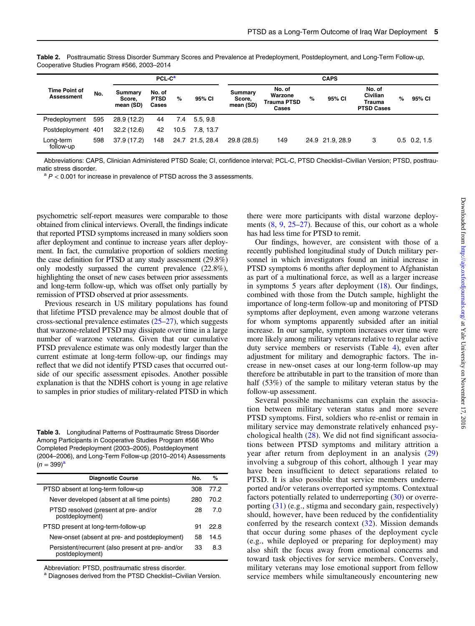|                                    |     |                                | PCL-C <sup>a</sup>             |      | <b>CAPS</b>     |                                |                                                  |   |                |                                                   |      |                |
|------------------------------------|-----|--------------------------------|--------------------------------|------|-----------------|--------------------------------|--------------------------------------------------|---|----------------|---------------------------------------------------|------|----------------|
| <b>Time Point of</b><br>Assessment | No. | Summary<br>Score,<br>mean (SD) | No. of<br><b>PTSD</b><br>Cases | $\%$ | 95% CI          | Summary<br>Score,<br>mean (SD) | No. of<br>Warzone<br><b>Trauma PTSD</b><br>Cases | % | 95% CI         | No. of<br>Civilian<br>Trauma<br><b>PTSD Cases</b> | $\%$ | 95% CI         |
| Predeployment                      | 595 | 28.9 (12.2)                    | 44                             | 7.4  | 5.5.9.8         |                                |                                                  |   |                |                                                   |      |                |
| Postdeployment 401                 |     | 32.2(12.6)                     | 42                             | 10.5 | 7.8.13.7        |                                |                                                  |   |                |                                                   |      |                |
| Long-term<br>follow-up             | 598 | 37.9 (17.2)                    | 148                            |      | 24.7 21.5, 28.4 | 29.8(28.5)                     | 149                                              |   | 24.9 21.9 28.9 | 3                                                 |      | $0.5$ 0.2, 1.5 |

<span id="page-4-0"></span>Table 2. Posttraumatic Stress Disorder Summary Scores and Prevalence at Predeployment, Postdeployment, and Long-Term Follow-up, Cooperative Studies Program #566, 2003–2014

Abbreviations: CAPS, Clinician Administered PTSD Scale; CI, confidence interval; PCL-C, PTSD Checklist–Civilian Version; PTSD, posttraumatic stress disorder.<br>  $a$  P < 0.001 for increase in prevalence of PTSD across the 3 assessments.

psychometric self-report measures were comparable to those obtained from clinical interviews. Overall, the findings indicate that reported PTSD symptoms increased in many soldiers soon after deployment and continue to increase years after deployment. In fact, the cumulative proportion of soldiers meeting the case definition for PTSD at any study assessment (29.8%) only modestly surpassed the current prevalence (22.8%), highlighting the onset of new cases between prior assessments and long-term follow-up, which was offset only partially by remission of PTSD observed at prior assessments.

Previous research in US military populations has found that lifetime PTSD prevalence may be almost double that of cross-sectional prevalence estimates  $(25-27)$  $(25-27)$  $(25-27)$  $(25-27)$  $(25-27)$ , which suggests that warzone-related PTSD may dissipate over time in a large number of warzone veterans. Given that our cumulative PTSD prevalence estimate was only modestly larger than the current estimate at long-term follow-up, our findings may reflect that we did not identify PTSD cases that occurred outside of our specific assessment episodes. Another possible explanation is that the NDHS cohort is young in age relative to samples in prior studies of military-related PTSD in which

Table 3. Longitudinal Patterns of Posttraumatic Stress Disorder Among Participants in Cooperative Studies Program #566 Who Completed Predeployment (2003–2005), Postdeployment (2004–2006), and Long-Term Follow-up (2010–2014) Assessments  $(n = 399)^{a}$ 

| <b>Diagnostic Course</b>                                             | No. | %    |
|----------------------------------------------------------------------|-----|------|
| PTSD absent at long-term follow-up                                   | 308 | 77.2 |
| Never developed (absent at all time points)                          | 280 | 70.2 |
| PTSD resolved (present at pre- and/or<br>postdeployment)             | 28  | 7.0  |
| PTSD present at long-term-follow-up                                  | 91  | 22.8 |
| New-onset (absent at pre- and postdeployment)                        | 58  | 14.5 |
| Persistent/recurrent (also present at pre- and/or<br>postdeployment) | 33  | 8.3  |
|                                                                      |     |      |

Abbreviation: PTSD, posttraumatic stress disorder.<br><sup>a</sup> Diagnoses derived from the PTSD Checklist–Civilian Version.

there were more participants with distal warzone deployments  $(8, 9, 25-27)$  $(8, 9, 25-27)$  $(8, 9, 25-27)$  $(8, 9, 25-27)$  $(8, 9, 25-27)$  $(8, 9, 25-27)$  $(8, 9, 25-27)$  $(8, 9, 25-27)$ . Because of this, our cohort as a whole has had less time for PTSD to remit.

Our findings, however, are consistent with those of a recently published longitudinal study of Dutch military personnel in which investigators found an initial increase in PTSD symptoms 6 months after deployment to Afghanistan as part of a multinational force, as well as a larger increase in symptoms 5 years after deployment ([18\)](#page-7-0). Our findings, combined with those from the Dutch sample, highlight the importance of long-term follow-up and monitoring of PTSD symptoms after deployment, even among warzone veterans for whom symptoms apparently subsided after an initial increase. In our sample, symptom increases over time were more likely among military veterans relative to regular active duty service members or reservists (Table [4\)](#page-5-0), even after adjustment for military and demographic factors. The increase in new-onset cases at our long-term follow-up may therefore be attributable in part to the transition of more than half (53%) of the sample to military veteran status by the follow-up assessment.

Several possible mechanisms can explain the association between military veteran status and more severe PTSD symptoms. First, soldiers who re-enlist or remain in military service may demonstrate relatively enhanced psychological health  $(28)$  $(28)$  $(28)$ . We did not find significant associations between PTSD symptoms and military attrition a year after return from deployment in an analysis ([29\)](#page-8-0) involving a subgroup of this cohort, although 1 year may have been insufficient to detect separations related to PTSD. It is also possible that service members underreported and/or veterans overreported symptoms. Contextual factors potentially related to underreporting ([30](#page-8-0)) or overreporting ([31](#page-8-0)) (e.g., stigma and secondary gain, respectively) should, however, have been reduced by the confidentiality conferred by the research context  $(32)$  $(32)$ . Mission demands that occur during some phases of the deployment cycle (e.g., while deployed or preparing for deployment) may also shift the focus away from emotional concerns and toward task objectives for service members. Conversely, military veterans may lose emotional support from fellow service members while simultaneously encountering new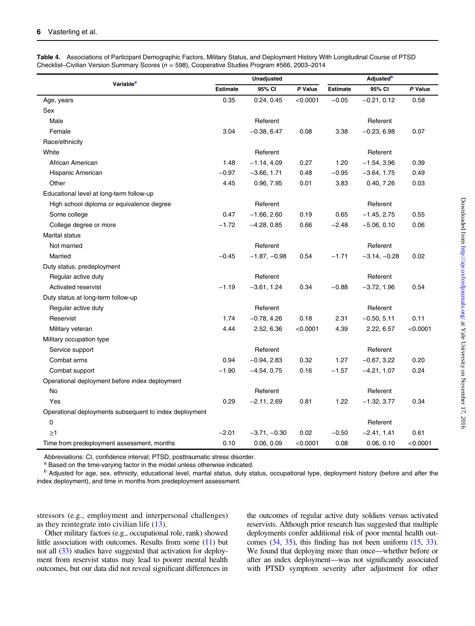| Variable <sup>a</sup>                                  |                 | <b>Unadjusted</b> |          | <b>Adjusted</b> <sup>b</sup> |                |          |  |
|--------------------------------------------------------|-----------------|-------------------|----------|------------------------------|----------------|----------|--|
|                                                        | <b>Estimate</b> | 95% CI            | P Value  | <b>Estimate</b>              | 95% CI         | P Value  |  |
| Age, years                                             | 0.35            | 0.24, 0.45        | < 0.0001 | $-0.05$                      | $-0.21, 0.12$  | 0.58     |  |
| Sex                                                    |                 |                   |          |                              |                |          |  |
| Male                                                   |                 | Referent          |          |                              | Referent       |          |  |
| Female                                                 | 3.04            | $-0.38, 6.47$     | 0.08     | 3.38                         | $-0.23, 6.98$  | 0.07     |  |
| Race/ethnicity                                         |                 |                   |          |                              |                |          |  |
| White                                                  |                 | Referent          |          |                              | Referent       |          |  |
| African American                                       | 1.48            | $-1.14, 4.09$     | 0.27     | 1.20                         | $-1.54, 3.96$  | 0.39     |  |
| Hispanic American                                      | $-0.97$         | $-3.66, 1.71$     | 0.48     | $-0.95$                      | $-3.64, 1.75$  | 0.49     |  |
| Other                                                  | 4.45            | 0.96, 7.95        | 0.01     | 3.83                         | 0.40, 7.26     | 0.03     |  |
| Educational level at long-term follow-up               |                 |                   |          |                              |                |          |  |
| High school diploma or equivalence degree              |                 | Referent          |          |                              | Referent       |          |  |
| Some college                                           | 0.47            | $-1.66, 2.60$     | 0.19     | 0.65                         | $-1.45, 2.75$  | 0.55     |  |
| College degree or more                                 | $-1.72$         | $-4.28, 0.85$     | 0.66     | $-2.48$                      | $-5.06, 0.10$  | 0.06     |  |
| Marital status                                         |                 |                   |          |                              |                |          |  |
| Not married                                            |                 | Referent          |          |                              | Referent       |          |  |
| Married                                                | $-0.45$         | $-1.87, -0.98$    | 0.54     | $-1.71$                      | $-3.14, -0.28$ | 0.02     |  |
| Duty status, predeployment                             |                 |                   |          |                              |                |          |  |
| Regular active duty                                    |                 | Referent          |          |                              | Referent       |          |  |
| Activated reservist                                    | $-1.19$         | $-3.61, 1.24$     | 0.34     | $-0.88$                      | $-3.72, 1.96$  | 0.54     |  |
| Duty status at long-term follow-up                     |                 |                   |          |                              |                |          |  |
| Regular active duty                                    |                 | Referent          |          |                              | Referent       |          |  |
| Reservist                                              | 1.74            | $-0.78, 4.26$     | 0.18     | 2.31                         | $-0.50, 5.11$  | 0.11     |  |
| Military veteran                                       | 4.44            | 2.52, 6.36        | < 0.0001 | 4.39                         | 2.22, 6.57     | < 0.0001 |  |
| Military occupation type                               |                 |                   |          |                              |                |          |  |
| Service support                                        |                 | Referent          |          |                              | Referent       |          |  |
| Combat arms                                            | 0.94            | $-0.94, 2.83$     | 0.32     | 1.27                         | $-0.67, 3.22$  | 0.20     |  |
| Combat support                                         | $-1.90$         | $-4.54, 0.75$     | 0.16     | $-1.57$                      | $-4.21, 1.07$  | 0.24     |  |
| Operational deployment before index deployment         |                 |                   |          |                              |                |          |  |
| No                                                     |                 | Referent          |          |                              | Referent       |          |  |
| Yes                                                    | 0.29            | $-2.11, 2.69$     | 0.81     | 1.22                         | $-1.32, 3.77$  | 0.34     |  |
| Operational deployments subsequent to index deployment |                 |                   |          |                              |                |          |  |
| 0                                                      |                 |                   |          |                              | Referent       |          |  |
| $\geq$ 1                                               | $-2.01$         | $-3.71, -0.30$    | 0.02     | $-0.50$                      | $-2.41, 1.41$  | 0.61     |  |
| Time from predeployment assessment, months             | 0.10            | 0.06, 0.09        | < 0.0001 | 0.08                         | 0.06, 0.10     | < 0.0001 |  |

<span id="page-5-0"></span>Table 4. Associations of Participant Demographic Factors, Military Status, and Deployment History With Longitudinal Course of PTSD Checklist–Civilian Version Summary Scores ( $n = 598$ ), Cooperative Studies Program #566, 2003–2014

Abbreviations: CI, confidence interval; PTSD, posttraumatic stress disorder.<br><sup>a</sup> Based on the time-varying factor in the model unless otherwise indicated.<br><sup>b</sup> Adjusted for age, sex, ethnicity, educational level, marital st index deployment), and time in months from predeployment assessment.

stressors (e.g., employment and interpersonal challenges) as they reintegrate into civilian life [\(13](#page-7-0)).

Other military factors (e.g., occupational role, rank) showed little association with outcomes. Results from some [\(11\)](#page-7-0) but not all ([33](#page-8-0)) studies have suggested that activation for deployment from reservist status may lead to poorer mental health outcomes, but our data did not reveal significant differences in

the outcomes of regular active duty soldiers versus activated reservists. Although prior research has suggested that multiple deployments confer additional risk of poor mental health outcomes [\(34](#page-8-0), [35](#page-8-0)), this finding has not been uniform ([15](#page-7-0), [33](#page-8-0)). We found that deploying more than once—whether before or after an index deployment—was not significantly associated with PTSD symptom severity after adjustment for other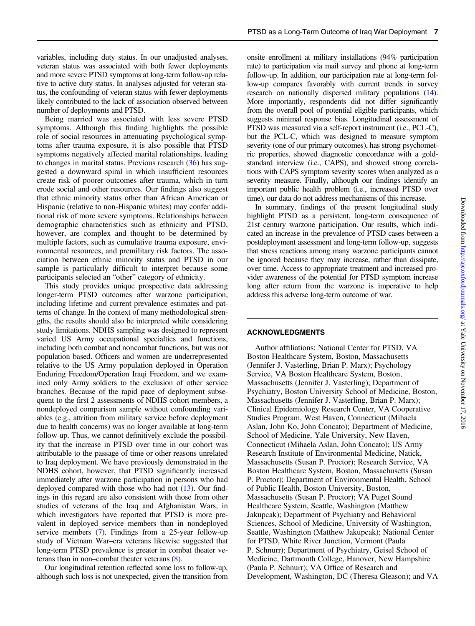variables, including duty status. In our unadjusted analyses, veteran status was associated with both fewer deployments and more severe PTSD symptoms at long-term follow-up relative to active duty status. In analyses adjusted for veteran status, the confounding of veteran status with fewer deployments likely contributed to the lack of association observed between number of deployments and PTSD.

Being married was associated with less severe PTSD symptoms. Although this finding highlights the possible role of social resources in attenuating psychological symptoms after trauma exposure, it is also possible that PTSD symptoms negatively affected marital relationships, leading to changes in marital status. Previous research [\(36\)](#page-8-0) has suggested a downward spiral in which insufficient resources create risk of poorer outcomes after trauma, which in turn erode social and other resources. Our findings also suggest that ethnic minority status other than African American or Hispanic (relative to non-Hispanic whites) may confer additional risk of more severe symptoms. Relationships between demographic characteristics such as ethnicity and PTSD, however, are complex and thought to be determined by multiple factors, such as cumulative trauma exposure, environmental resources, and premilitary risk factors. The association between ethnic minority status and PTSD in our sample is particularly difficult to interpret because some participants selected an "other" category of ethnicity.

This study provides unique prospective data addressing longer-term PTSD outcomes after warzone participation, including lifetime and current prevalence estimates and patterns of change. In the context of many methodological strengths, the results should also be interpreted while considering study limitations. NDHS sampling was designed to represent varied US Army occupational specialties and functions, including both combat and noncombat functions, but was not population based. Officers and women are underrepresented relative to the US Army population deployed in Operation Enduring Freedom/Operation Iraqi Freedom, and we examined only Army soldiers to the exclusion of other service branches. Because of the rapid pace of deployment subsequent to the first 2 assessments of NDHS cohort members, a nondeployed comparison sample without confounding variables (e.g., attrition from military service before deployment due to health concerns) was no longer available at long-term follow-up. Thus, we cannot definitively exclude the possibility that the increase in PTSD over time in our cohort was attributable to the passage of time or other reasons unrelated to Iraq deployment. We have previously demonstrated in the NDHS cohort, however, that PTSD significantly increased immediately after warzone participation in persons who had deployed compared with those who had not [\(13\)](#page-7-0). Our findings in this regard are also consistent with those from other studies of veterans of the Iraq and Afghanistan Wars, in which investigators have reported that PTSD is more prevalent in deployed service members than in nondeployed service members ([7\)](#page-7-0). Findings from a 25-year follow-up study of Vietnam War–era veterans likewise suggested that long-term PTSD prevalence is greater in combat theater veterans than in non–combat theater veterans ([8\)](#page-7-0).

Our longitudinal retention reflected some loss to follow-up, although such loss is not unexpected, given the transition from onsite enrollment at military installations (94% participation rate) to participation via mail survey and phone at long-term follow-up. In addition, our participation rate at long-term follow-up compares favorably with current trends in survey research on nationally dispersed military populations [\(14](#page-7-0)). More importantly, respondents did not differ significantly from the overall pool of potential eligible participants, which suggests minimal response bias. Longitudinal assessment of PTSD was measured via a self-report instrument (i.e., PCL-C), but the PCL-C, which was designed to measure symptom severity (one of our primary outcomes), has strong psychometric properties, showed diagnostic concordance with a goldstandard interview (i.e., CAPS), and showed strong correlations with CAPS symptom severity scores when analyzed as a severity measure. Finally, although our findings identify an important public health problem (i.e., increased PTSD over time), our data do not address mechanisms of this increase.

In summary, findings of the present longitudinal study highlight PTSD as a persistent, long-term consequence of 21st century warzone participation. Our results, which indicated an increase in the prevalence of PTSD cases between a postdeployment assessment and long-term follow-up, suggests that stress reactions among many warzone participants cannot be ignored because they may increase, rather than dissipate, over time. Access to appropriate treatment and increased provider awareness of the potential for PTSD symptom increase long after return from the warzone is imperative to help address this adverse long-term outcome of war.

#### ACKNOWLEDGMENTS

Author affiliations: National Center for PTSD, VA Boston Healthcare System, Boston, Massachusetts (Jennifer J. Vasterling, Brian P. Marx); Psychology Service, VA Boston Healthcare System, Boston, Massachusetts (Jennifer J. Vasterling); Department of Psychiatry, Boston University School of Medicine, Boston, Massachusetts (Jennifer J. Vasterling, Brian P. Marx); Clinical Epidemiology Research Center, VA Cooperative Studies Program, West Haven, Connecticut (Mihaela Aslan, John Ko, John Concato); Department of Medicine, School of Medicine, Yale University, New Haven, Connecticut (Mihaela Aslan, John Concato); US Army Research Institute of Environmental Medicine, Natick, Massachusetts (Susan P. Proctor); Research Service, VA Boston Healthcare System, Boston, Massachusetts (Susan P. Proctor); Department of Environmental Health, School of Public Health, Boston University, Boston, Massachusetts (Susan P. Proctor); VA Puget Sound Healthcare System, Seattle, Washington (Matthew Jakupcak); Department of Psychiatry and Behavioral Sciences, School of Medicine, University of Washington, Seattle, Washington (Matthew Jakupcak); National Center for PTSD, White River Junction, Vermont (Paula P. Schnurr); Department of Psychiatry, Geisel School of Medicine, Dartmouth College, Hanover, New Hampshire (Paula P. Schnurr); VA Office of Research and Development, Washington, DC (Theresa Gleason); and VA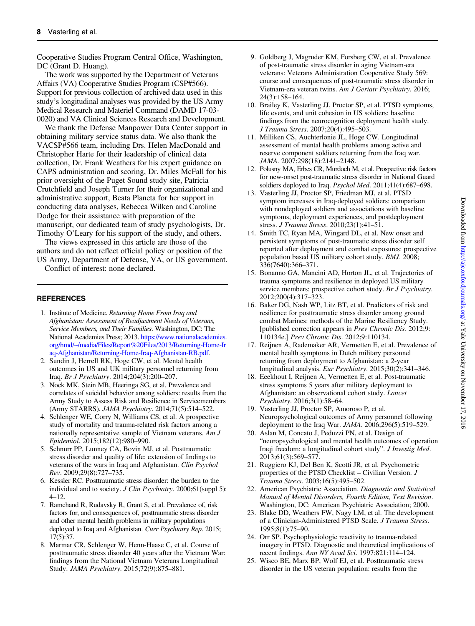<span id="page-7-0"></span>Cooperative Studies Program Central Office, Washington, DC (Grant D. Huang).

The work was supported by the Department of Veterans Affairs (VA) Cooperative Studies Program (CSP#566). Support for previous collection of archived data used in this study's longitudinal analyses was provided by the US Army Medical Research and Materiel Command (DAMD 17-03- 0020) and VA Clinical Sciences Research and Development.

We thank the Defense Manpower Data Center support in obtaining military service status data. We also thank the VACSP#566 team, including Drs. Helen MacDonald and Christopher Harte for their leadership of clinical data collection, Dr. Frank Weathers for his expert guidance on CAPS administration and scoring, Dr. Miles McFall for his prior oversight of the Puget Sound study site, Patricia Crutchfield and Joseph Turner for their organizational and administrative support, Beata Planeta for her support in conducting data analyses, Rebecca Wilken and Caroline Dodge for their assistance with preparation of the manuscript, our dedicated team of study psychologists, Dr. Timothy O'Leary for his support of the study, and others.

The views expressed in this article are those of the authors and do not reflect official policy or position of the US Army, Department of Defense, VA, or US government.

Conflict of interest: none declared.

## **REFERENCES**

- 1. Institute of Medicine. Returning Home From Iraq and Afghanistan: Assessment of Readjustment Needs of Veterans, Service Members, and Their Families. Washington, DC: The National Academies Press; 2013. [https://www.nationalacademies.](https://www.nationalacademies.org/hmd/~/media/Files/Report%20Files/2013/Returning-Home-Iraq-Afghanistan/Returning-Home-Iraq-Afghanistan-RB.pdf) [org/hmd/~/media/Files/Report%20Files/2013/Returning-Home-Ir](https://www.nationalacademies.org/hmd/~/media/Files/Report%20Files/2013/Returning-Home-Iraq-Afghanistan/Returning-Home-Iraq-Afghanistan-RB.pdf) [aq-Afghanistan/Returning-Home-Iraq-Afghanistan-RB.pdf.](https://www.nationalacademies.org/hmd/~/media/Files/Report%20Files/2013/Returning-Home-Iraq-Afghanistan/Returning-Home-Iraq-Afghanistan-RB.pdf)
- 2. Sundin J, Herrell RK, Hoge CW, et al. Mental health outcomes in US and UK military personnel returning from Iraq. Br J Psychiatry. 2014;204(3):200–207.
- 3. Nock MK, Stein MB, Heeringa SG, et al. Prevalence and correlates of suicidal behavior among soldiers: results from the Army Study to Assess Risk and Resilience in Servicemembers (Army STARRS). JAMA Psychiatry. 2014;71(5):514–522.
- 4. Schlenger WE, Corry N, Williams CS, et al. A prospective study of mortality and trauma-related risk factors among a nationally representative sample of Vietnam veterans. Am J Epidemiol. 2015;182(12):980–990.
- 5. Schnurr PP, Lunney CA, Bovin MJ, et al. Posttraumatic stress disorder and quality of life: extension of findings to veterans of the wars in Iraq and Afghanistan. Clin Psychol Rev. 2009;29(8):727–735.
- 6. Kessler RC. Posttraumatic stress disorder: the burden to the individual and to society. J Clin Psychiatry. 2000;61(suppl 5): 4–12.
- 7. Ramchand R, Rudavsky R, Grant S, et al. Prevalence of, risk factors for, and consequences of, posttraumatic stress disorder and other mental health problems in military populations deployed to Iraq and Afghanistan. Curr Psychiatry Rep. 2015; 17(5):37.
- 8. Marmar CR, Schlenger W, Henn-Haase C, et al. Course of posttraumatic stress disorder 40 years after the Vietnam War: findings from the National Vietnam Veterans Longitudinal Study. JAMA Psychiatry. 2015;72(9):875–881.
- 9. Goldberg J, Magruder KM, Forsberg CW, et al. Prevalence of post-traumatic stress disorder in aging Vietnam-era veterans: Veterans Administration Cooperative Study 569: course and consequences of post-traumatic stress disorder in Vietnam-era veteran twins. Am J Geriatr Psychiatry. 2016; 24(3):158–164.
- 10. Brailey K, Vasterling JJ, Proctor SP, et al. PTSD symptoms, life events, and unit cohesion in US soldiers: baseline findings from the neurocognition deployment health study. J Trauma Stress. 2007;20(4):495–503.
- 11. Milliken CS, Auchterlonie JL, Hoge CW. Longitudinal assessment of mental health problems among active and reserve component soldiers returning from the Iraq war. JAMA. 2007;298(18):2141–2148.
- 12. Polusny MA, Erbes CR, Murdoch M, et al. Prospective risk factors for new-onset post-traumatic stress disorder in National Guard soldiers deployed to Iraq. Psychol Med. 2011;41(4):687–698.
- 13. Vasterling JJ, Proctor SP, Friedman MJ, et al. PTSD symptom increases in Iraq-deployed soldiers: comparison with nondeployed soldiers and associations with baseline symptoms, deployment experiences, and postdeployment stress. J Trauma Stress. 2010;23(1):41–51.
- 14. Smith TC, Ryan MA, Wingard DL, et al. New onset and persistent symptoms of post-traumatic stress disorder self reported after deployment and combat exposures: prospective population based US military cohort study. BMJ. 2008; 336(7640):366–371.
- 15. Bonanno GA, Mancini AD, Horton JL, et al. Trajectories of trauma symptoms and resilience in deployed US military service members: prospective cohort study. Br J Psychiatry. 2012;200(4):317–323.
- 16. Baker DG, Nash WP, Litz BT, et al. Predictors of risk and resilience for posttraumatic stress disorder among ground combat Marines: methods of the Marine Resiliency Study. [published correction appears in Prev Chronic Dis. 2012;9: 110134e.] Prev Chronic Dis. 2012;9:110134.
- 17. Reijnen A, Rademaker AR, Vermetten E, et al. Prevalence of mental health symptoms in Dutch military personnel returning from deployment to Afghanistan: a 2-year longitudinal analysis. Eur Psychiatry. 2015;30(2):341–346.
- 18. Eeekhout I, Reijnen A, Vermetten E, et al. Post-traumatic stress symptoms 5 years after military deployment to Afghanistan: an observational cohort study. Lancet Psychiatry. 2016;3(1):58–64.
- 19. Vasterling JJ, Proctor SP, Amoroso P, et al. Neuropsychological outcomes of Army personnel following deployment to the Iraq War. JAMA. 2006;296(5):519–529.
- 20. Aslan M, Concato J, Peduzzi PN, et al. Design of "neuropsychological and mental health outcomes of operation Iraqi freedom: a longitudinal cohort study". J Investig Med. 2013;61(3):569–577.
- 21. Ruggiero KJ, Del Ben K, Scotti JR, et al. Psychometric properties of the PTSD Checklist – Civilian Version. J Trauma Stress. 2003;16(5):495–502.
- 22. American Psychiatric Association. Diagnostic and Statistical Manual of Mental Disorders, Fourth Edition, Text Revision. Washington, DC: American Psychiatric Association; 2000.
- 23. Blake DD, Weathers FW, Nagy LM, et al. The development of a Clinician-Administered PTSD Scale. J Trauma Stress. 1995;8(1):75–90.
- 24. Orr SP. Psychophysiologic reactivity to trauma-related imagery in PTSD. Diagnostic and theoretical implications of recent findings. Ann NY Acad Sci. 1997;821:114–124.
- 25. Wisco BE, Marx BP, Wolf EJ, et al. Posttraumatic stress disorder in the US veteran population: results from the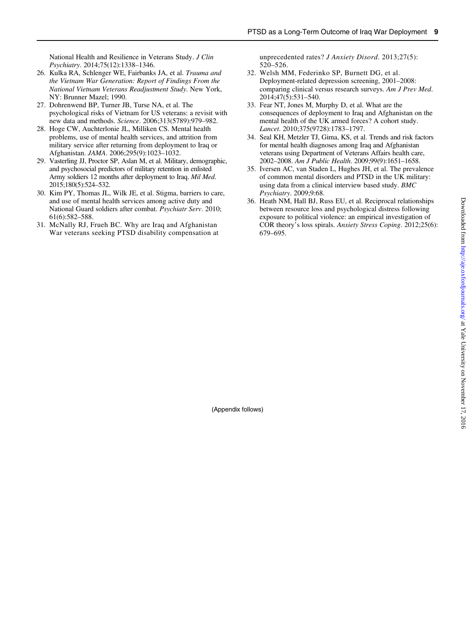<span id="page-8-0"></span>National Health and Resilience in Veterans Study. J Clin Psychiatry. 2014;75(12):1338–1346.

- 26. Kulka RA, Schlenger WE, Fairbanks JA, et al. Trauma and the Vietnam War Generation: Report of Findings From the National Vietnam Veterans Readjustment Study. New York, NY: Brunner Mazel; 1990.
- 27. Dohrenwend BP, Turner JB, Turse NA, et al. The psychological risks of Vietnam for US veterans: a revisit with new data and methods. Science. 2006;313(5789):979–982.
- 28. Hoge CW, Auchterlonie JL, Milliken CS. Mental health problems, use of mental health services, and attrition from military service after returning from deployment to Iraq or Afghanistan. JAMA. 2006;295(9):1023–1032.
- 29. Vasterling JJ, Proctor SP, Aslan M, et al. Military, demographic, and psychosocial predictors of military retention in enlisted Army soldiers 12 months after deployment to Iraq. Mil Med. 2015;180(5):524–532.
- 30. Kim PY, Thomas JL, Wilk JE, et al. Stigma, barriers to care, and use of mental health services among active duty and National Guard soldiers after combat. Psychiatr Serv. 2010; 61(6):582–588.
- 31. McNally RJ, Frueh BC. Why are Iraq and Afghanistan War veterans seeking PTSD disability compensation at

unprecedented rates? J Anxiety Disord. 2013;27(5): 520–526.

- 32. Welsh MM, Federinko SP, Burnett DG, et al. Deployment-related depression screening, 2001–2008: comparing clinical versus research surveys. Am J Prev Med. 2014;47(5):531–540.
- 33. Fear NT, Jones M, Murphy D, et al. What are the consequences of deployment to Iraq and Afghanistan on the mental health of the UK armed forces? A cohort study. Lancet. 2010;375(9728):1783–1797.
- 34. Seal KH, Metzler TJ, Gima, KS, et al. Trends and risk factors for mental health diagnoses among Iraq and Afghanistan veterans using Department of Veterans Affairs health care, 2002–2008. Am J Public Health. 2009;99(9):1651–1658.
- 35. Iversen AC, van Staden L, Hughes JH, et al. The prevalence of common mental disorders and PTSD in the UK military: using data from a clinical interview based study. BMC Psychiatry. 2009;9:68.
- 36. Heath NM, Hall BJ, Russ EU, et al. Reciprocal relationships between resource loss and psychological distress following exposure to political violence: an empirical investigation of COR theory's loss spirals. Anxiety Stress Coping. 2012;25(6): 679–695.

(Appendix follows)